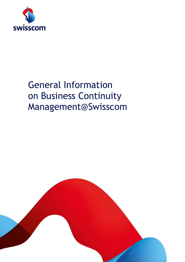

# General Information on Business Continuity Management@Swisscom

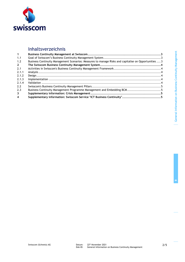

# Inhaltsverzeichnis

| $\mathbf 1$             |                                                                                                       |  |
|-------------------------|-------------------------------------------------------------------------------------------------------|--|
| 1.1                     |                                                                                                       |  |
| 1.2                     | Business Continuity Management Scenarios: Measures to manage Risks and capitalise on Opportunities  3 |  |
| $2^{\circ}$             |                                                                                                       |  |
| 2.1                     |                                                                                                       |  |
| 2.1.1                   |                                                                                                       |  |
| 2.1.2                   |                                                                                                       |  |
| 2.1.3                   |                                                                                                       |  |
| 2.1.4                   |                                                                                                       |  |
| 2.2                     |                                                                                                       |  |
| 2.3                     | Business Continuity Management Programme Management and Embedding BCM5                                |  |
| $\mathbf{3}$            |                                                                                                       |  |
| $\overline{\mathbf{4}}$ |                                                                                                       |  |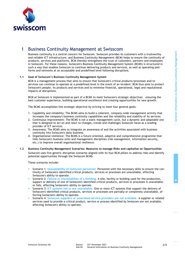

## 1 Business Continuity Management at Swisscom

Business continuity is a central concern for Swisscom. Swisscom provides its customers with a trustworthy and reliable ICT infrastructure, and Business Continuity Management (BCM) helps to ensure the continuity of products, services and platforms. BCM thereby strengthens the trust of customers, partners and employees in Swisscom. For these reasons, Swisscom's Business Continuity Management System (BCMS) is structured in such a way that enables Swisscom to continue delivering products and services, as well as operating platforms and networks at an acceptable and predefined level following disruptions.

#### **1.1 Goal of Swisscom's Business Continuity Management System**

BCM is a management process that aims to ensure that Swisscom's critical products/processes and/or services can continue to operate at a predefined level in the event of an incident. BCM thus aims to protect Swisscom's people, its products and services and to minimise financial, operational, legal and reputational impacts of disruptions.

BCM at Swisscom is implemented as part of a BCMS to meet Swisscom's strategic objectives – ensuring the best customer experience, building operational excellence and creating opportunities for new growth.

The BCMS accomplishes this strategic objective by striving to meet four general goals:

- 1. Capability and reliability: The BCMS aims to build a coherent, company-wide management activity that increases the company's business continuity capabilities and the reliability and stability of its services.
- 2. Continuous improvement: The BCMS is not a static management cycle, but a dynamic and adaptable one that is designed to act on and react to changes, trends and challenges Swisscom faces as a leading provider of ICT services.
- 3. Awareness: The BCMS aims to integrate an awareness of and the activities associated with business continuity into Swisscom's daily business.
- 4. Organisational resilience: The BCMS is a future-oriented, adaptive and comprehensive programme that links Swisscom's business units and management disciplines (risk management, information security, etc.) to improve overall organisational resilience.
- **1.2 Business Continuity Management Scenarios: Measures to manage Risks and capitalise on Opportunities** Swisscom uses five generic disruption scenarios aligned with its four BCM pillars to address risks and identify potential opportunities through the Swisscom BCMS.

These scenarios include:

- Scenario 1: **Unavailability of Swisscom personnel.** Personnel with the necessary skills to ensure the continuity of Swisscom's identified critical products, services or processes are unavailable, affecting Swisscom's ability to operate.
- Scenario 2: **Failure or unavailability of a building.** A site, facility or building used for the production, support or delivery of one of Swisscom's identified critical products, services or processes is unavailable or fails, affecting Swisscom's ability to operate.
- Scenario 3: ICT systems fail or are unavailable. One or more ICT systems that support the delivery of Swisscom's identified critical products, services or processes are partially or completely unavailable, affecting Swisscom's ability to operate.
- Scenario 4: **Swisscom suppliers or associated service providers are not available.** A supplier or related services used to provide a critical product, service or process identified by Swisscom are not available, affecting Swisscom's ability to operate.

**B**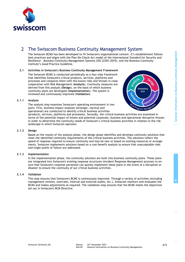

# 2 The Swisscom Business Continuity Management System

The Swisscom BCMS has been developed to fit Swisscom's organisational context. It's establishment follows best practices and aligns with the Plan-Do-Check-Act model of the International Standard for Security and Resilience - Business Continuity Management Systems (ISO 22301:2019), and the Business Continuity Institute's Good Practice Guideline.

#### **2.1 Activities in Swisscom's Business Continuity Management Framework**

The Swisscom BCMS is conducted periodically as a four-step framework that identifies Swisscom's critical products, services, platforms and processes and compares them with the known risks and threats in close cooperation with Risk Management (**Analysis**). Continuity measures are derived from this analysis (**Design**), on the basis of which business continuity plans are developed (**Implementation**). The system is reviewed and continuously improved (**Validation**).

#### **2.1.1 Analysis**

The analysis step examines Swisscom's operating environment in two parts. First, business impact analyses (strategic, tactical and operational) are conducted to identify critical business activities



(products, services, platforms and processes). Secondly, the critical business activities are examined in terms of the potential impact of known and potential corporate, business and operational disruptive threats in order to determine the continuity needs of Swisscom's critical business activities in relation to the risk landscape in which Swisscom operates.

#### **2.1.2 Design**

Based on the results of the analysis phase, the design phase identifies and develops continuity solutions that meet the identified continuity requirements of the critical business activities. The solutions reflect the speed of response required to ensure continuity and may be new or based on existing resources or arrangements. Swisscom implements solutions based on a cost-benefit analysis to ensure that unacceptable risks and single points of failure are addressed.

#### **2.1.3 Implementation**

In the implementation phase, the continuity solutions are built into business continuity plans. These plans are integrated into Swisscom's existing response structures (Incident Response Management process) to ensure that Swisscom's response personnel can quickly implement these plans in the event of a disruption or disaster to ensure the continuity of our critical business activities.

#### **2.1.4 Validation**

This step ensures that Swisscom's BCMS is continuously improved. Through a variety of activities (including management reviews, exercises, internal and external audits, etc.), Swisscom monitors and evaluates the BCMS and makes adjustments as required. The validation step ensures that the BCMS meets the objectives set out in Swisscom's BCM Directive.

**B**